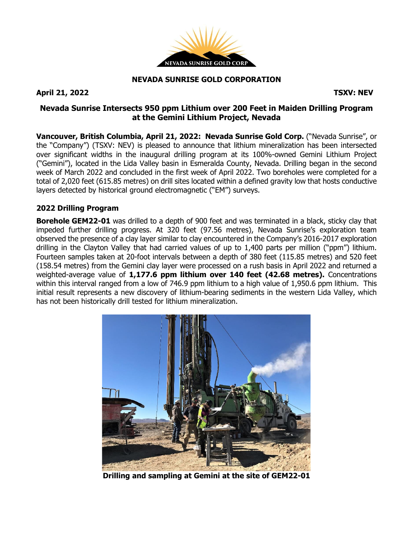

#### **NEVADA SUNRISE GOLD CORPORATION**

**April 21, 2022 TSXV: NEV**

## **Nevada Sunrise Intersects 950 ppm Lithium over 200 Feet in Maiden Drilling Program at the Gemini Lithium Project, Nevada**

**Vancouver, British Columbia, April 21, 2022: Nevada Sunrise Gold Corp.** ("Nevada Sunrise", or the "Company") (TSXV: NEV) is pleased to announce that lithium mineralization has been intersected over significant widths in the inaugural drilling program at its 100%-owned Gemini Lithium Project ("Gemini"), located in the Lida Valley basin in Esmeralda County, Nevada. Drilling began in the second week of March 2022 and concluded in the first week of April 2022. Two boreholes were completed for a total of 2,020 feet (615.85 metres) on drill sites located within a defined gravity low that hosts conductive layers detected by historical ground electromagnetic ("EM") surveys.

## **2022 Drilling Program**

**Borehole GEM22-01** was drilled to a depth of 900 feet and was terminated in a black, sticky clay that impeded further drilling progress. At 320 feet (97.56 metres), Nevada Sunrise's exploration team observed the presence of a clay layer similar to clay encountered in the Company's 2016-2017 exploration drilling in the Clayton Valley that had carried values of up to 1,400 parts per million ("ppm") lithium. Fourteen samples taken at 20-foot intervals between a depth of 380 feet (115.85 metres) and 520 feet (158.54 metres) from the Gemini clay layer were processed on a rush basis in April 2022 and returned a weighted-average value of **1,177.6 ppm lithium over 140 feet (42.68 metres).** Concentrations within this interval ranged from a low of 746.9 ppm lithium to a high value of 1,950.6 ppm lithium. This initial result represents a new discovery of lithium-bearing sediments in the western Lida Valley, which has not been historically drill tested for lithium mineralization.



**Drilling and sampling at Gemini at the site of GEM22-01**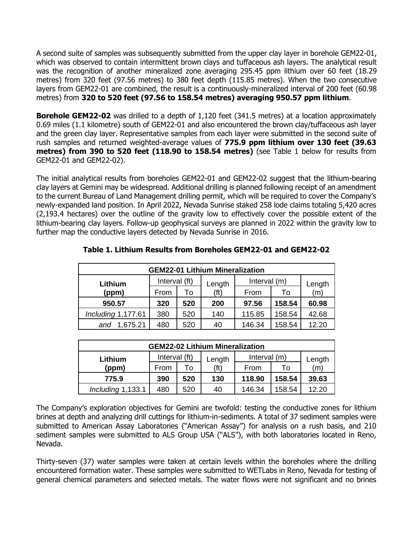A second suite of samples was subsequently submitted from the upper clay layer in borehole GEM22-01, which was observed to contain intermittent brown clays and tuffaceous ash layers. The analytical result was the recognition of another mineralized zone averaging 295.45 ppm lithium over 60 feet (18.29 metres) from 320 feet (97.56 metres) to 380 feet depth (115.85 metres). When the two consecutive layers from GEM22-01 are combined, the result is a continuously-mineralized interval of 200 feet (60.98 metres) from **320 to 520 feet (97.56 to 158.54 metres) averaging 950.57 ppm lithium**.

**Borehole GEM22-02** was drilled to a depth of 1,120 feet (341.5 metres) at a location approximately 0.69 miles (1.1 kilometre) south of GEM22-01 and also encountered the brown clay/tuffaceous ash layer and the green clay layer. Representative samples from each layer were submitted in the second suite of rush samples and returned weighted-average values of **775.9 ppm lithium over 130 feet (39.63 metres) from 390 to 520 feet (118.90 to 158.54 metres)** (see Table 1 below for results from GEM22-01 and GEM22-02).

The initial analytical results from boreholes GEM22-01 and GEM22-02 suggest that the lithium-bearing clay layers at Gemini may be widespread. Additional drilling is planned following receipt of an amendment to the current Bureau of Land Management drilling permit, which will be required to cover the Company's newly-expanded land position. In April 2022, Nevada Sunrise staked 258 lode claims totaling 5,420 acres (2,193.4 hectares) over the outline of the gravity low to effectively cover the possible extent of the lithium-bearing clay layers. Follow-up geophysical surveys are planned in 2022 within the gravity low to further map the conductive layers detected by Nevada Sunrise in 2016.

| <b>GEM22-01 Lithium Mineralization</b> |               |     |                   |              |        |        |  |  |  |
|----------------------------------------|---------------|-----|-------------------|--------------|--------|--------|--|--|--|
| Lithium                                | Interval (ft) |     | Length            | Interval (m) |        | Length |  |  |  |
| (ppm)                                  | From          | Τo  | (f <sub>t</sub> ) | From         | To     | (m)    |  |  |  |
| 950.57                                 | 320           | 520 | 200               | 97.56        | 158.54 | 60.98  |  |  |  |
| Including 1,177.61                     | 380           | 520 | 140               | 115.85       | 158.54 | 42.68  |  |  |  |
| 1,675.21<br>and                        | 480           | 520 | 40                | 146.34       | 158.54 | 12.20  |  |  |  |

# **Table 1. Lithium Results from Boreholes GEM22-01 and GEM22-02**

| <b>GEM22-02 Lithium Mineralization</b> |               |     |                 |              |        |        |  |  |  |
|----------------------------------------|---------------|-----|-----------------|--------------|--------|--------|--|--|--|
| Lithium                                | Interval (ft) |     | Length          | Interval (m) |        | Length |  |  |  |
| (ppm)                                  | From          | Т٥  | $^{\prime}$ ft) | From         | Т٥     | (m)    |  |  |  |
| 775.9                                  | 390           | 520 | 130             | 118.90       | 158.54 | 39.63  |  |  |  |
| Including 1,133.1                      | 480           | 520 | 40              | 146.34       | 158.54 | 12.20  |  |  |  |

The Company's exploration objectives for Gemini are twofold: testing the conductive zones for lithium brines at depth and analyzing drill cuttings for lithium-in-sediments. A total of 37 sediment samples were submitted to American Assay Laboratories ("American Assay") for analysis on a rush basis, and 210 sediment samples were submitted to ALS Group USA ("ALS"), with both laboratories located in Reno, Nevada.

Thirty-seven (37) water samples were taken at certain levels within the boreholes where the drilling encountered formation water. These samples were submitted to WETLabs in Reno, Nevada for testing of general chemical parameters and selected metals. The water flows were not significant and no brines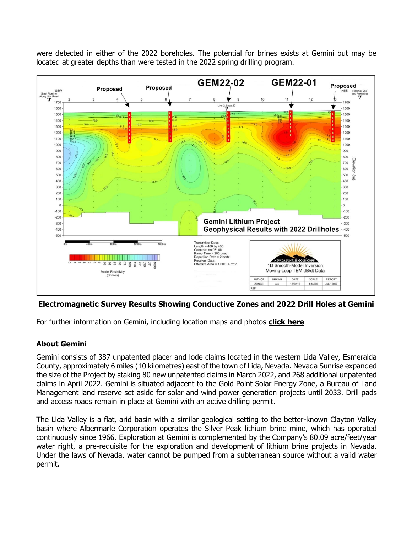were detected in either of the 2022 boreholes. The potential for brines exists at Gemini but may be located at greater depths than were tested in the 2022 spring drilling program.



**Electromagnetic Survey Results Showing Conductive Zones and 2022 Drill Holes at Gemini**

For further information on Gemini, including location maps and photos **click [here](https://www.nevadasunrise.ca/projects/gemini-lithium/)**

## **About Gemini**

Gemini consists of 387 unpatented placer and lode claims located in the western Lida Valley, Esmeralda County, approximately 6 miles (10 kilometres) east of the town of Lida, Nevada. Nevada Sunrise expanded the size of the Project by staking 80 new unpatented claims in March 2022, and 268 additional unpatented claims in April 2022. Gemini is situated adjacent to the Gold Point Solar Energy Zone, a Bureau of Land Management land reserve set aside for solar and wind power generation projects until 2033. Drill pads and access roads remain in place at Gemini with an active drilling permit.

The Lida Valley is a flat, arid basin with a similar geological setting to the better-known Clayton Valley basin where Albermarle Corporation operates the Silver Peak lithium brine mine, which has operated continuously since 1966. Exploration at Gemini is complemented by the Company's 80.09 acre/feet/year water right, a pre-requisite for the exploration and development of lithium brine projects in Nevada. Under the laws of Nevada, water cannot be pumped from a subterranean source without a valid water permit.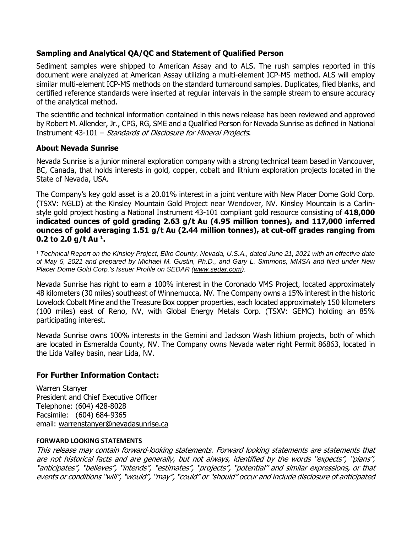## **Sampling and Analytical QA/QC and Statement of Qualified Person**

Sediment samples were shipped to American Assay and to ALS. The rush samples reported in this document were analyzed at American Assay utilizing a multi-element ICP-MS method. ALS will employ similar multi-element ICP-MS methods on the standard turnaround samples. Duplicates, filed blanks, and certified reference standards were inserted at regular intervals in the sample stream to ensure accuracy of the analytical method.

The scientific and technical information contained in this news release has been reviewed and approved by Robert M. Allender, Jr., CPG, RG, SME and a Qualified Person for Nevada Sunrise as defined in National Instrument 43-101 – Standards of Disclosure for Mineral Projects.

#### **About Nevada Sunrise**

Nevada Sunrise is a junior mineral exploration company with a strong technical team based in Vancouver, BC, Canada, that holds interests in gold, copper, cobalt and lithium exploration projects located in the State of Nevada, USA.

The Company's key gold asset is a 20.01% interest in a joint venture with New Placer Dome Gold Corp. (TSXV: NGLD) at the Kinsley Mountain Gold Project near Wendover, NV. Kinsley Mountain is a Carlinstyle gold project hosting a National Instrument 43-101 compliant gold resource consisting of **418,000 indicated ounces of gold grading 2.63 g/t Au (4.95 million tonnes), and 117,000 inferred ounces of gold averaging 1.51 g/t Au (2.44 million tonnes), at cut-off grades ranging from 0.2 to 2.0 g/t Au <sup>1</sup> .**

<sup>1</sup> Technical Report on the Kinsley Project, Elko County, Nevada, U.S.A., dated June 21, 2021 with an effective date of May 5, 2021 and prepared by Michael M. Gustin, Ph.D., and Gary L. Simmons, MMSA and filed under New *Placer Dome Gold Corp.'s Issuer Profile on SEDAR [\(www.sedar.com\)](https://c212.net/c/link/?t=0&l=en&o=3232825-1&h=4288497972&u=http%3A%2F%2Fwww.sedar.com%2F&a=www.sedar.com).*

Nevada Sunrise has right to earn a 100% interest in the Coronado VMS Project, located approximately 48 kilometers (30 miles) southeast of Winnemucca, NV. The Company owns a 15% interest in the historic Lovelock Cobalt Mine and the Treasure Box copper properties, each located approximately 150 kilometers (100 miles) east of Reno, NV, with Global Energy Metals Corp. (TSXV: GEMC) holding an 85% participating interest.

Nevada Sunrise owns 100% interests in the Gemini and Jackson Wash lithium projects, both of which are located in Esmeralda County, NV. The Company owns Nevada water right Permit 86863, located in the Lida Valley basin, near Lida, NV.

#### **For Further Information Contact:**

Warren Stanyer President and Chief Executive Officer Telephone: (604) 428-8028 Facsimile: (604) 684-9365 email: [warrenstanyer@nevadasunrise.ca](mailto:warrenstanyer@nevadasunrise.ca)

#### **FORWARD LOOKING STATEMENTS**

This release may contain forward‐looking statements. Forward looking statements are statements that are not historical facts and are generally, but not always, identified by the words "expects", "plans", "anticipates", "believes", "intends", "estimates", "projects", "potential" and similar expressions, or that events or conditions "will", "would", "may", "could" or "should" occur and include disclosure of anticipated